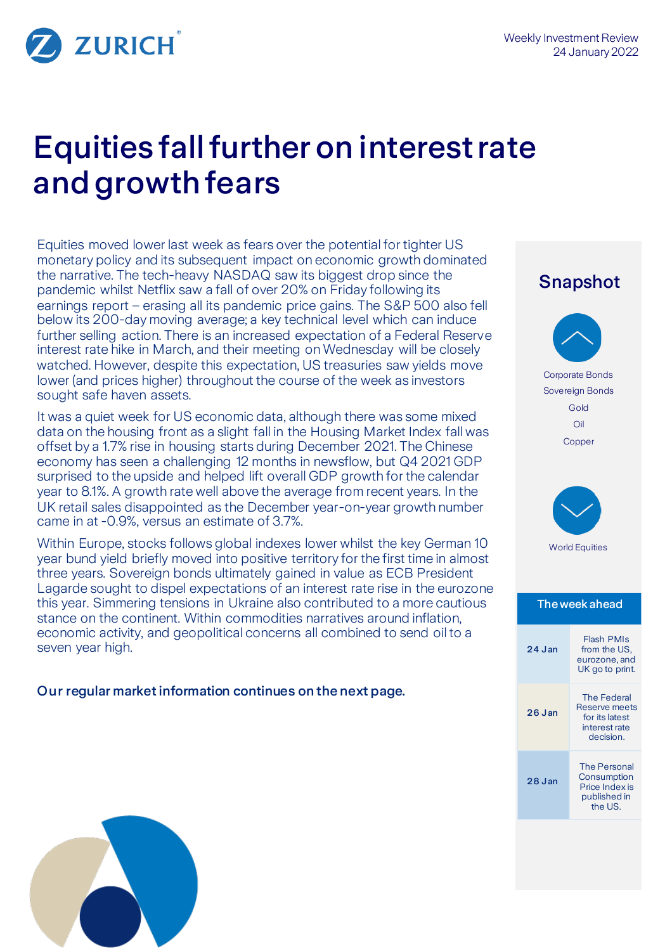

# Equities fall further on interest rate and growth fears

Equities moved lower last week as fears over the potential for tighter US monetary policy and its subsequent impact on economic growth dominated the narrative. The tech-heavy NASDAQ saw its biggest drop since the pandemic whilst Netflix saw a fall of over 20% on Friday following its earnings report – erasing all its pandemic price gains. The S&P 500 also fell below its 200-day moving average; a key technical level which can induce further selling action. There is an increased expectation of a Federal Reserve interest rate hike in March, and their meeting on Wednesday will be closely watched. However, despite this expectation, US treasuries saw yields move lower (and prices higher) throughout the course of the week as investors sought safe haven assets.

It was a quiet week for US economic data, although there was some mixed data on the housing front as a slight fall in the Housing Market Index fall was offset by a 1.7% rise in housing starts during December 2021. The Chinese economy has seen a challenging 12 months in newsflow, but Q4 2021 GDP surprised to the upside and helped lift overall GDP growth for the calendar year to 8.1%. A growth rate well above the average from recent years. In the UK retail sales disappointed as the December year-on-year growth number came in at -0.9%, versus an estimate of 3.7%.

Within Europe, stocks follows global indexes lower whilst the key German 10 year bund yield briefly moved into positive territory for the first time in almost three years. Sovereign bonds ultimately gained in value as ECB President Lagarde sought to dispel expectations of an interest rate rise in the eurozone this year. Simmering tensions in Ukraine also contributed to a more cautious stance on the continent. Within commodities narratives around inflation, economic activity, and geopolitical concerns all combined to send oil to a seven year high.

Our regular market information continues on the next page.

# Snapshot Corporate Bonds Sovereign Bonds Gold Oil Copper World Equities The week ahead 24 J an Flash PMIs from the US, eurozone, and UK go to print. 26 J an The Federal Reserve meets for its latest interest rate decision. 28 J an The Personal **Consumption** Price Index is published in the US.